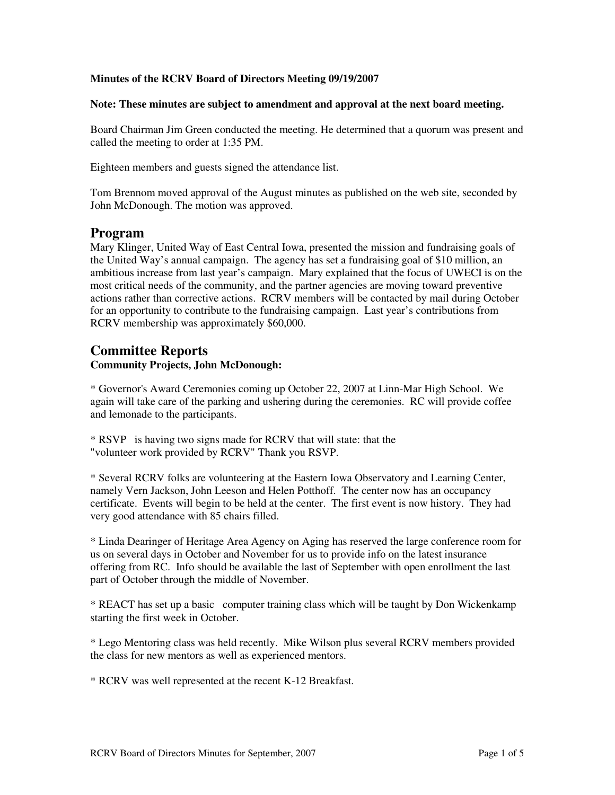# **Minutes of the RCRV Board of Directors Meeting 09/19/2007**

## **Note: These minutes are subject to amendment and approval at the next board meeting.**

Board Chairman Jim Green conducted the meeting. He determined that a quorum was present and called the meeting to order at 1:35 PM.

Eighteen members and guests signed the attendance list.

Tom Brennom moved approval of the August minutes as published on the web site, seconded by John McDonough. The motion was approved.

# **Program**

Mary Klinger, United Way of East Central Iowa, presented the mission and fundraising goals of the United Way's annual campaign. The agency has set a fundraising goal of \$10 million, an ambitious increase from last year's campaign. Mary explained that the focus of UWECI is on the most critical needs of the community, and the partner agencies are moving toward preventive actions rather than corrective actions. RCRV members will be contacted by mail during October for an opportunity to contribute to the fundraising campaign. Last year's contributions from RCRV membership was approximately \$60,000.

# **Committee Reports**

# **Community Projects, John McDonough:**

\* Governor's Award Ceremonies coming up October 22, 2007 at Linn-Mar High School. We again will take care of the parking and ushering during the ceremonies. RC will provide coffee and lemonade to the participants.

\* RSVP is having two signs made for RCRV that will state: that the "volunteer work provided by RCRV" Thank you RSVP.

\* Several RCRV folks are volunteering at the Eastern Iowa Observatory and Learning Center, namely Vern Jackson, John Leeson and Helen Potthoff. The center now has an occupancy certificate. Events will begin to be held at the center. The first event is now history. They had very good attendance with 85 chairs filled.

\* Linda Dearinger of Heritage Area Agency on Aging has reserved the large conference room for us on several days in October and November for us to provide info on the latest insurance offering from RC. Info should be available the last of September with open enrollment the last part of October through the middle of November.

\* REACT has set up a basic computer training class which will be taught by Don Wickenkamp starting the first week in October.

\* Lego Mentoring class was held recently. Mike Wilson plus several RCRV members provided the class for new mentors as well as experienced mentors.

\* RCRV was well represented at the recent K-12 Breakfast.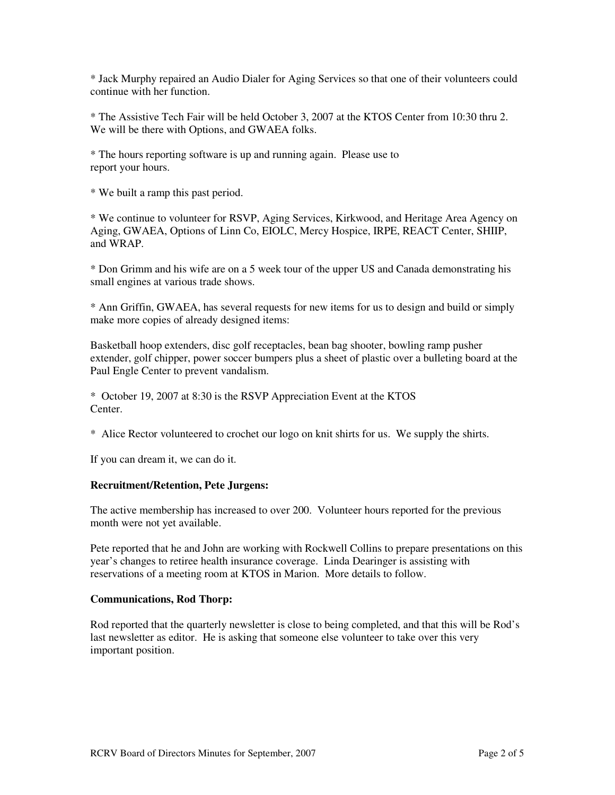\* Jack Murphy repaired an Audio Dialer for Aging Services so that one of their volunteers could continue with her function.

\* The Assistive Tech Fair will be held October 3, 2007 at the KTOS Center from 10:30 thru 2. We will be there with Options, and GWAEA folks.

\* The hours reporting software is up and running again. Please use to report your hours.

\* We built a ramp this past period.

\* We continue to volunteer for RSVP, Aging Services, Kirkwood, and Heritage Area Agency on Aging, GWAEA, Options of Linn Co, EIOLC, Mercy Hospice, IRPE, REACT Center, SHIIP, and WRAP.

\* Don Grimm and his wife are on a 5 week tour of the upper US and Canada demonstrating his small engines at various trade shows.

\* Ann Griffin, GWAEA, has several requests for new items for us to design and build or simply make more copies of already designed items:

Basketball hoop extenders, disc golf receptacles, bean bag shooter, bowling ramp pusher extender, golf chipper, power soccer bumpers plus a sheet of plastic over a bulleting board at the Paul Engle Center to prevent vandalism.

\* October 19, 2007 at 8:30 is the RSVP Appreciation Event at the KTOS Center.

\* Alice Rector volunteered to crochet our logo on knit shirts for us. We supply the shirts.

If you can dream it, we can do it.

#### **Recruitment/Retention, Pete Jurgens:**

The active membership has increased to over 200. Volunteer hours reported for the previous month were not yet available.

Pete reported that he and John are working with Rockwell Collins to prepare presentations on this year's changes to retiree health insurance coverage. Linda Dearinger is assisting with reservations of a meeting room at KTOS in Marion. More details to follow.

#### **Communications, Rod Thorp:**

Rod reported that the quarterly newsletter is close to being completed, and that this will be Rod's last newsletter as editor. He is asking that someone else volunteer to take over this very important position.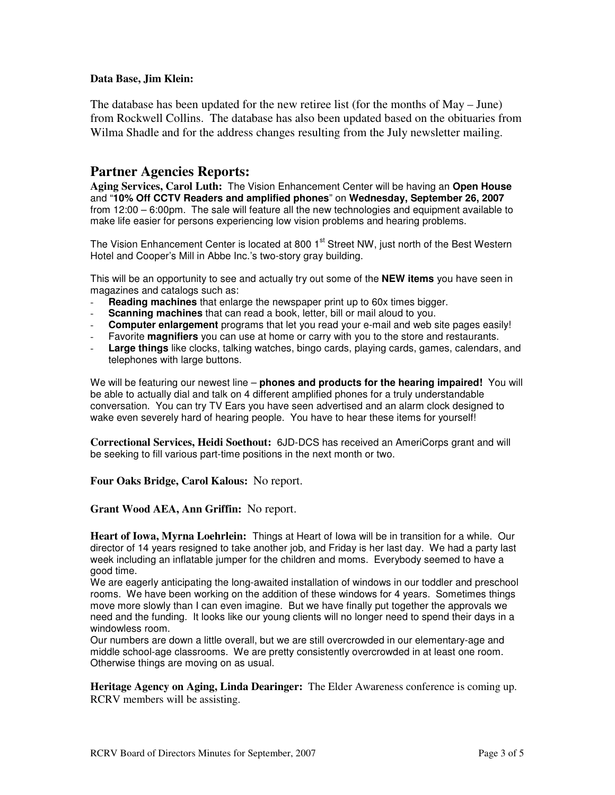## **Data Base, Jim Klein:**

The database has been updated for the new retiree list (for the months of May – June) from Rockwell Collins. The database has also been updated based on the obituaries from Wilma Shadle and for the address changes resulting from the July newsletter mailing.

# **Partner Agencies Reports:**

**Aging Services, Carol Luth:** The Vision Enhancement Center will be having an **Open House** and "**10% Off CCTV Readers and amplified phones**" on **Wednesday, September 26, 2007** from 12:00 – 6:00pm. The sale will feature all the new technologies and equipment available to make life easier for persons experiencing low vision problems and hearing problems.

The Vision Enhancement Center is located at 800 1<sup>st</sup> Street NW, just north of the Best Western Hotel and Cooper's Mill in Abbe Inc.'s two-story gray building.

This will be an opportunity to see and actually try out some of the **NEW items** you have seen in magazines and catalogs such as:

- **Reading machines** that enlarge the newspaper print up to 60x times bigger.
- **Scanning machines** that can read a book, letter, bill or mail aloud to you.
- **Computer enlargement** programs that let you read your e-mail and web site pages easily!
- Favorite **magnifiers** you can use at home or carry with you to the store and restaurants.
- Large things like clocks, talking watches, bingo cards, playing cards, games, calendars, and telephones with large buttons.

We will be featuring our newest line – **phones and products for the hearing impaired!** You will be able to actually dial and talk on 4 different amplified phones for a truly understandable conversation. You can try TV Ears you have seen advertised and an alarm clock designed to wake even severely hard of hearing people. You have to hear these items for yourself!

**Correctional Services, Heidi Soethout:** 6JD-DCS has received an AmeriCorps grant and will be seeking to fill various part-time positions in the next month or two.

# **Four Oaks Bridge, Carol Kalous:** No report.

#### **Grant Wood AEA, Ann Griffin:** No report.

**Heart of Iowa, Myrna Loehrlein:** Things at Heart of Iowa will be in transition for a while. Our director of 14 years resigned to take another job, and Friday is her last day. We had a party last week including an inflatable jumper for the children and moms. Everybody seemed to have a good time.

We are eagerly anticipating the long-awaited installation of windows in our toddler and preschool rooms. We have been working on the addition of these windows for 4 years. Sometimes things move more slowly than I can even imagine. But we have finally put together the approvals we need and the funding. It looks like our young clients will no longer need to spend their days in a windowless room.

Our numbers are down a little overall, but we are still overcrowded in our elementary-age and middle school-age classrooms. We are pretty consistently overcrowded in at least one room. Otherwise things are moving on as usual.

**Heritage Agency on Aging, Linda Dearinger:** The Elder Awareness conference is coming up. RCRV members will be assisting.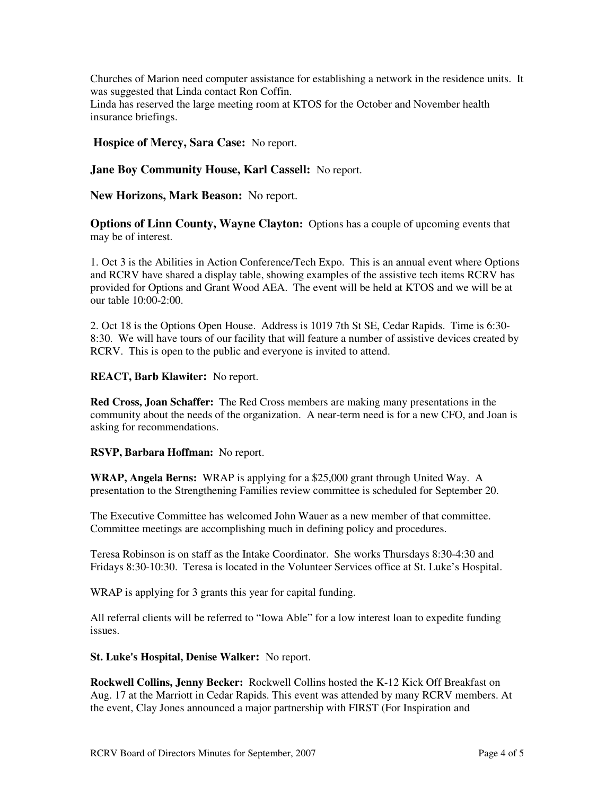Churches of Marion need computer assistance for establishing a network in the residence units. It was suggested that Linda contact Ron Coffin.

Linda has reserved the large meeting room at KTOS for the October and November health insurance briefings.

**Hospice of Mercy, Sara Case:** No report.

**Jane Boy Community House, Karl Cassell:** No report.

**New Horizons, Mark Beason:** No report.

**Options of Linn County, Wayne Clayton:** Options has a couple of upcoming events that may be of interest.

1. Oct 3 is the Abilities in Action Conference/Tech Expo. This is an annual event where Options and RCRV have shared a display table, showing examples of the assistive tech items RCRV has provided for Options and Grant Wood AEA. The event will be held at KTOS and we will be at our table 10:00-2:00.

2. Oct 18 is the Options Open House. Address is 1019 7th St SE, Cedar Rapids. Time is 6:30- 8:30. We will have tours of our facility that will feature a number of assistive devices created by RCRV. This is open to the public and everyone is invited to attend.

**REACT, Barb Klawiter:** No report.

**Red Cross, Joan Schaffer:** The Red Cross members are making many presentations in the community about the needs of the organization. A near-term need is for a new CFO, and Joan is asking for recommendations.

# **RSVP, Barbara Hoffman:** No report.

**WRAP, Angela Berns:** WRAP is applying for a \$25,000 grant through United Way. A presentation to the Strengthening Families review committee is scheduled for September 20.

The Executive Committee has welcomed John Wauer as a new member of that committee. Committee meetings are accomplishing much in defining policy and procedures.

Teresa Robinson is on staff as the Intake Coordinator. She works Thursdays 8:30-4:30 and Fridays 8:30-10:30. Teresa is located in the Volunteer Services office at St. Luke's Hospital.

WRAP is applying for 3 grants this year for capital funding.

All referral clients will be referred to "Iowa Able" for a low interest loan to expedite funding issues.

**St. Luke's Hospital, Denise Walker:** No report.

**Rockwell Collins, Jenny Becker:** Rockwell Collins hosted the K-12 Kick Off Breakfast on Aug. 17 at the Marriott in Cedar Rapids. This event was attended by many RCRV members. At the event, Clay Jones announced a major partnership with FIRST (For Inspiration and